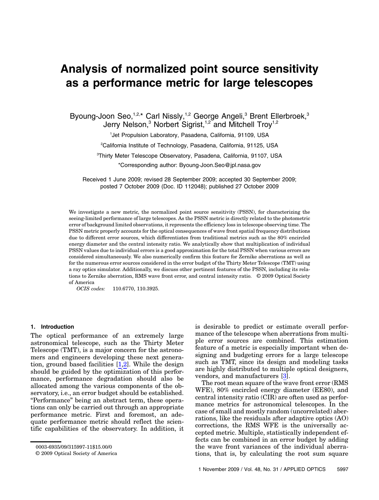# Analysis of normalized point source sensitivity as a performance metric for large telescopes

Byoung-Joon Seo,<sup>1,2,\*</sup> Carl Nissly,<sup>1,2</sup> George Angeli,<sup>3</sup> Brent Ellerbroek,<sup>3</sup> Jerry Nelson,<sup>3</sup> Norbert Sigrist,<sup>1,2</sup> and Mitchell Troy<sup>1,2</sup>

1 Jet Propulsion Laboratory, Pasadena, California, 91109, USA

2 California Institute of Technology, Pasadena, California, 91125, USA

3 Thirty Meter Telescope Observatory, Pasadena, California, 91107, USA

\*Corresponding author: Byoung‑Joon.Seo@jpl.nasa.gov

Received 1 June 2009; revised 28 September 2009; accepted 30 September 2009; posted 7 October 2009 (Doc. ID 112048); published 27 October 2009

We investigate a new metric, the normalized point source sensitivity (PSSN), for characterizing the seeing-limited performance of large telescopes. As the PSSN metric is directly related to the photometric error of background limited observations, it represents the efficiency loss in telescope observing time. The PSSN metric properly accounts for the optical consequences of wave front spatial frequency distributions due to different error sources, which differentiates from traditional metrics such as the 80% encircled energy diameter and the central intensity ratio. We analytically show that multiplication of individual PSSN values due to individual errors is a good approximation for the total PSSN when various errors are considered simultaneously. We also numerically confirm this feature for Zernike aberrations as well as for the numerous error sources considered in the error budget of the Thirty Meter Telescope (TMT) using a ray optics simulator. Additionally, we discuss other pertinent features of the PSSN, including its relations to Zernike aberration, RMS wave front error, and central intensity ratio. © 2009 Optical Society of America

OCIS codes: 110.6770, 110.3925.

#### 1. Introduction

The optical performance of an extremely large astronomical telescope, such as the Thirty Meter Telescope (TMT), is a major concern for the astronomers and engineers developing these next generation, ground based facilities  $[1,2]$ . While the design should be guided by the optimization of this performance, performance degradation should also be allocated among the various components of the observatory, i.e., an error budget should be established. "Performance" being an abstract term, these operations can only be carried out through an appropriate performance metric. First and foremost, an adequate performance metric should reflect the scientific capabilities of the observatory. In addition, it is desirable to predict or estimate overall performance of the telescope when aberrations from multiple error sources are combined. This estimation feature of a metric is especially important when designing and budgeting errors for a large telescope such as TMT, since its design and modeling tasks are highly distributed to multiple optical designers, vendors, and manufacturers [[3](#page-10-0)].

The root mean square of the wave front error (RMS WFE), 80% encircled energy diameter (EE80), and central intensity ratio (CIR) are often used as performance metrics for astronomical telescopes. In the case of small and mostly random (uncorrelated) aberrations, like the residuals after adaptive optics (AO) corrections, the RMS WFE is the universally accepted metric. Multiple, statistically independent effects can be combined in an error budget by adding the wave front variances of the individual aberrations, that is, by calculating the root sum square

<sup>0003-6935/09/315997-11\$15.00/0</sup>

<sup>© 2009</sup> Optical Society of America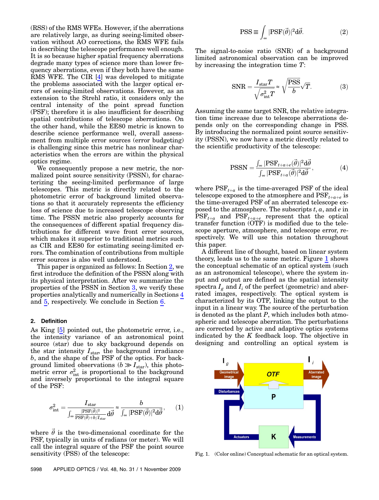(RSS) of the RMS WFEs. However, if the aberrations are relatively large, as during seeing-limited observation without AO corrections, the RMS WFE fails in describing the telescope performance well enough. It is so because higher spatial frequency aberrations degrade many types of science more than lower frequency aberrations, even if they both have the same RMS WFE. The CIR [\[4](#page-10-1)] was developed to mitigate the problems associated with the larger optical errors of seeing-limited observations. However, as an extension to the Strehl ratio, it considers only the central intensity of the point spread function (PSF); therefore it is also insufficient for describing spatial contributions of telescope aberrations. On the other hand, while the EE80 metric is known to describe science performance well, overall assessment from multiple error sources (error budgeting) is challenging since this metric has nonlinear characteristics when the errors are within the physical optics regime.

We consequently propose a new metric, the normalized point source sensitivity (PSSN), for characterizing the seeing-limited performance of large telescopes. This metric is directly related to the photometric error of background limited observations so that it accurately represents the efficiency loss of science due to increased telescope observing time. The PSSN metric also properly accounts for the consequences of different spatial frequency distributions for different wave front error sources, which makes it superior to traditional metrics such as CIR and EE80 for estimating seeing-limited errors. The combination of contributions from multiple error sources is also well understood.

This paper is organized as follows: In Section [2](#page-1-0), we first introduce the definition of the PSSN along with its physical interpretation. After we summarize the properties of the PSSN in Section [3](#page-2-0), we verify these properties analytically and numerically in Sections [4](#page-2-1) and [5](#page-7-0), respectively. We conclude in Section [6.](#page-9-0)

#### <span id="page-1-0"></span>2. Definition

As King [[5](#page-10-2)] pointed out, the photometric error, i.e., the intensity variance of an astronomical point source (star) due to sky background depends on the star intensity  $I_{\text{star}}$ , the background irradiance b, and the shape of the PSF of the optics. For background limited observations  $(b \gg I<sub>star</sub>)$ , this photometric error  $\sigma_{\text{int}}^2$  is proportional to the background and inversely proportional to the integral square of the PSF:

$$
\sigma_{\rm int}^2 = \frac{I_{\rm star}}{\int_{\infty} \frac{|\text{PSF}(\vec{\theta})|^2}{\text{PSF}(\vec{\theta}) + b/I_{\rm star}} d\vec{\theta}} \approx \frac{b}{\int_{\infty} |\text{PSF}(\vec{\theta})|^2 d\vec{\theta}},\qquad(1)
$$

where  $\vec{\theta}$  is the two-dimensional coordinate for the PSF, typically in units of radians (or meter). We will call the integral square of the PSF the point source sensitivity (PSS) of the telescope:

$$
PSS \equiv \int_{\infty} |PSF(\vec{\theta})|^2 d\vec{\theta}.
$$
 (2)

The signal-to-noise ratio (SNR) of a background limited astronomical observation can be improved by increasing the integration time T:

$$
SNR = \frac{I_{\text{star}}T}{\sqrt{\sigma_{\text{int}}^2 T}} \approx \sqrt{\frac{\text{PSS}}{b}} \sqrt{T}.
$$
 (3)

Assuming the same target SNR, the relative integration time increase due to telescope aberrations depends only on the corresponding change in PSS. By introducing the normalized point source sensitivity (PSSN), we now have a metric directly related to the scientific productivity of the telescope:

$$
\text{PSSN} = \frac{\int_{\infty} |\text{PSF}_{t+a+e}(\vec{\theta})|^2 \text{d}\vec{\theta}}{\int_{\infty} |\text{PSF}_{t+a}(\vec{\theta})|^2 \text{d}\vec{\theta}},\tag{4}
$$

where  $PSF_{t+a}$  is the time-averaged PSF of the ideal telescope exposed to the atmosphere and  $PSF_{t+a+e}$  is the time-averaged PSF of an aberrated telescope exposed to the atmosphere. The subscripts  $t, a$ , and  $e$  in  $PSF_{t+a}$  and  $PSF_{t+a+e}$  represent that the optical transfer function (OTF) is modified due to the telescope aperture, atmosphere, and telescope error, respectively. We will use this notation throughout this paper.

A different line of thought, based on linear system theory, leads us to the same metric. Figure [1](#page-1-1) shows the conceptual schematic of an optical system (such as an astronomical telescope), where the system input and output are defined as the spatial intensity spectra  $I_g$  and  $I_i$  of the perfect (geometric) and aberrated images, respectively. The optical system is characterized by its OTF, linking the output to the input in a linear way. The source of the perturbation is denoted as the plant  $P$ , which includes both atmospheric and telescope aberration. The perturbations are corrected by active and adaptive optics systems indicated by the  $K$  feedback loop. The objective in designing and controlling an optical system is

<span id="page-1-1"></span>

Fig. 1. (Color online) Conceptual schematic for an optical system.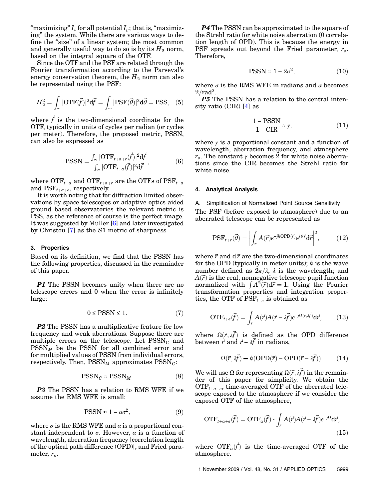"maximizing"  $I_i$  for all potential  $I_g$ ; that is, "maximizing" the system. While there are various ways to define the "size" of a linear system; the most common and generally useful way to do so is by its  $H_2$  norm, based on the integral square of the OTF.

Since the OTF and the PSF are related through the Fourier transformation according to the Parseval's energy conservation theorem, the  $H_2$  norm can also be represented using the PSF:

$$
H_2^2 = \int_{\infty} |\text{OTF}(\vec{f})|^2 \, \mathrm{d}\vec{f} = \int_{\infty} |\text{PSF}(\vec{\theta})|^2 \, \mathrm{d}\vec{\theta} = \text{PSS}, \quad (5)
$$

<span id="page-2-2"></span>where  $\vec{f}$  is the two-dimensional coordinate for the OTF, typically in units of cycles per radian (or cycles per meter). Therefore, the proposed metric, PSSN, can also be expressed as

$$
\text{PSSN} = \frac{\int_{\infty} |\text{OTF}_{t+a+e}(\vec{f})|^2 \, \mathrm{d}\vec{f}}{\int_{\infty} |\text{OTF}_{t+a}(\vec{f})|^2 \, \mathrm{d}\vec{f}},\tag{6}
$$

where  $\text{OTF}_{t+a}$  and  $\text{OTF}_{t+a+e}$  are the OTFs of  $\text{PSF}_{t+a}$ and  $PSF_{t+a+e}$ , respectively.

It is worth noting that for diffraction limited observations by space telescopes or adaptive optics aided ground based observatories the relevant metric is PSS, as the reference of course is the perfect image. It was suggested by Muller [\[6\]](#page-10-3) and later investigated by Christou [\[7\]](#page-10-4) as the S1 metric of sharpness.

#### <span id="page-2-0"></span>3. Properties

Based on its definition, we find that the PSSN has the following properties, discussed in the remainder of this paper.

**P1** The PSSN becomes unity when there are no telescope errors and 0 when the error is infinitely large:

$$
0\leq \text{PSSN}\leq 1. \tag{7}
$$

**P2** The PSSN has a multiplicative feature for low frequency and weak aberrations. Suppose there are multiple errors on the telescope. Let  $PSSN_C$  and  $PSSN<sub>M</sub>$  be the PSSN for all combined error and for multiplied values of PSSN from individual errors, respectively. Then,  $\text{PSSN}_M$  approximates  $\text{PSSN}_C$ :

$$
PSSN_C \approx PSSN_M. \tag{8}
$$

<span id="page-2-4"></span>**P3** The PSSN has a relation to RMS WFE if we assume the RMS WFE is small:

$$
PSSN \approx 1 - \alpha \sigma^2, \tag{9}
$$

where  $\sigma$  is the RMS WFE and  $\alpha$  is a proportional constant independent to  $\sigma$ . However,  $\alpha$  is a function of wavelength, aberration frequency [correlation length of the optical path difference (OPD)], and Fried parameter,  $r_o$ .

<span id="page-2-5"></span>**P4** The PSSN can be approximated to the square of the Strehl ratio for white noise aberration (0 correlation length of OPD). This is because the energy in PSF spreads out beyond the Fried parameter,  $r_o$ . Therefore,

$$
PSSN \approx 1 - 2\sigma^2, \tag{10}
$$

where  $\sigma$  is the RMS WFE in radians and  $\alpha$  becomes  $2/\text{rad}^2$ .

P5 The PSSN has a relation to the central intensity ratio (CIR) [\[4\]](#page-10-1) as

$$
\frac{1 - \text{PSSN}}{1 - \text{CIR}} \approx \gamma,\tag{11}
$$

<span id="page-2-1"></span>where  $\gamma$  is a proportional constant and a function of wavelength, aberration frequency, and atmosphere  $r<sub>o</sub>$ . The constant  $\gamma$  becomes 2 for white noise aberrations since the CIR becomes the Strehl ratio for white noise.

#### 4. Analytical Analysis

A. Simplification of Normalized Point Source Sensitivity The PSF (before exposed to atmosphere) due to an aberrated telescope can be represented as

$$
PSF_{t+e}(\vec{\theta}) = \left| \int_r A(\vec{r}) e^{-jkOPD(\vec{r})} e^{j\vec{\theta}\cdot\vec{r}} d\vec{r} \right|^2, \tag{12}
$$

where  $\vec{r}$  and  $d\vec{r}$  are the two-dimensional coordinates for the OPD (typically in meter units);  $k$  is the wave number defined as  $2\pi/\lambda$ ;  $\lambda$  is the wavelength; and  $A(\vec{r})$  is the real, nonnegative telescope pupil function normalized with  $\int A^2(\vec{r}) d\vec{r} = 1$ . Using the Fourier transformation properties and integration properties, the OTF of  $\overline{PSF}_{t+e}$  is obtained as

$$
\text{OTF}_{t+e}(\vec{f}) = \int_r A(\vec{r}) A(\vec{r} - \lambda \vec{f}) e^{-j\Omega(\vec{r}, \lambda \vec{f})} d\vec{r}, \tag{13}
$$

<span id="page-2-3"></span>where  $\Omega(\vec{r}, \lambda \vec{f})$  is defined as the OPD difference between  $\vec{r}$  and  $\vec{r} - \lambda \vec{f}$  in radians,

$$
\Omega(\vec{r}, \lambda \vec{f}) \equiv k(\text{OPD}(\vec{r}) - \text{OPD}(\vec{r} - \lambda \vec{f})). \tag{14}
$$

We will use  $\Omega$  for representing  $\Omega(\vec{r}, \vec{\mu})$  in the remainder of this paper for simplicity. We obtain the  $\text{OTF}_{t+a+e}$ , time-averaged OTF of the aberrated telescope exposed to the atmosphere if we consider the exposed OTF of the atmosphere,

$$
OTF_{t+a+e}(\vec{f}) = OTF_a(\vec{f}) \cdot \int_r A(\vec{r})A(\vec{r} - \lambda \vec{f})e^{-j\Omega}d\vec{r},\tag{15}
$$

where  $\text{OTF}_a(\vec{f})$  is the time-averaged OTF of the atmosphere.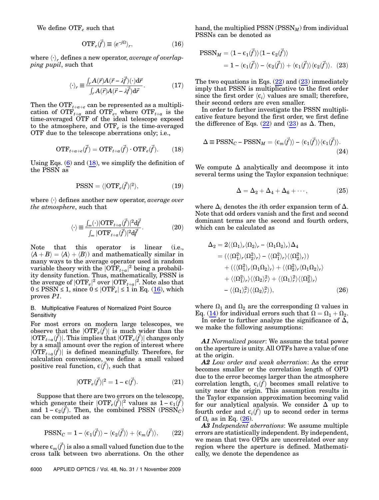<span id="page-3-1"></span>We define  $\text{OTF}_e$  such that

$$
\text{OTF}_e(\vec{f}) \equiv \langle e^{-j\Omega} \rangle_r,\tag{16}
$$

where  $\langle \cdot \rangle_r$  defines a new operator, *average of overlap*ping pupil, such that

$$
\langle \cdot \rangle_r \equiv \frac{\int_r A(\vec{r}) A(\vec{r} - \lambda \vec{f})(\cdot) \mathrm{d}\vec{r}}{\int_r A(\vec{r}) A(\vec{r} - \lambda \vec{f}) \mathrm{d}\vec{r}}.
$$
 (17)

<span id="page-3-0"></span>Then the  $\text{OTF}_{t+a+e}$  can be represented as a multiplication of  $\overline{\text{OTF}}_{t+a}$  and  $\overline{\text{OTF}}_e$ , where  $\overline{\text{OTF}}_{t+a}$  is the time-averaged OTF of the ideal telescope exposed to the atmosphere, and  $\text{OTF}_{e}$  is the time-averaged OTF due to the telescope aberrations only; i.e.,

$$
\text{OTF}_{t+a+e}(\vec{f}) = \text{OTF}_{t+a}(\vec{f}) \cdot \text{OTF}_{e}(\vec{f}).\tag{18}
$$

<span id="page-3-5"></span>Using Eqs.  $(6)$  and  $(18)$  $(18)$ , we simplify the definition of the PSSN as

$$
PSSN = \langle |OTF_e(\vec{f})|^2 \rangle, \tag{19}
$$

where  $\langle \cdot \rangle$  defines another new operator, *average over* the atmosphere, such that

$$
\langle \cdot \rangle \equiv \frac{\int_{\infty} (\cdot) |OTF_{t+a}(\vec{f})|^2 d\vec{f}}{\int_{\infty} |OTF_{t+a}(\vec{f})|^2 d\vec{f}}.
$$
 (20)

Note that this operator is linear (i.e.,  $\langle A + B \rangle = \langle A \rangle + \langle B \rangle$  and mathematically similar in many ways to the average operator used in random variable theory with the  $|\text{OTF}_{t+a}|^2$  being a probability density function. Thus, mathematically, PSSN is the average of  $|{\rm OTF}_e|^2$  over  $|{\rm OTF}_{t+a}|^2$ . Note also that  $0 \leq$  PSSN  $\leq$  1, since  $0 \leq$  |OTF<sub>e</sub>  $\leq$  1 in Eq. [\(16\)](#page-3-1), which proves P1.

# <span id="page-3-7"></span>B. Multiplicative Features of Normalized Point Source **Sensitivity**

For most errors on modern large telescopes, we observe that the  $|OTF_e(\vec{f})|$  is much wider than the  $\left|\text{OTF}_{t+a}(\vec{f})\right|$ . This implies that  $\left|\text{OTF}_{e}(\vec{f})\right|$  changes only by a small amount over the region of interest where  $|\tilde{OPT}_{t+a}(\vec{f})|$  is defined meaningfully. Therefore, for calculation convenience, we define a small valued positive real function,  $\epsilon(\vec{f})$ , such that

$$
|OTF_e(\vec{f})|^2 = 1 - \varepsilon(\vec{f}).
$$
\n(21)

<span id="page-3-6"></span><span id="page-3-2"></span>Suppose that there are two errors on the telescope, which generate their  $|OTF_e(\vec{f})|^2$  values as  $1 - \epsilon_1(\vec{f})$ and  $1 - \epsilon_2(\vec{f})$ . Then, the combined PSSN (PSSN<sub>C</sub>) can be computed as

$$
\text{PSSN}_C = 1 - \langle \epsilon_1(\vec{f}) \rangle - \langle \epsilon_2(\vec{f}) \rangle + \langle \epsilon_m(\vec{f}) \rangle, \qquad (22)
$$

where  $\epsilon_m(\vec{f})$  is also a small valued function due to the cross talk between two aberrations. On the other

6000 APPLIED OPTICS / Vol. 48, No. 31 / 1 November 2009

<span id="page-3-3"></span>hand, the multiplied PSSN ( $\text{PSSN}_M$ ) from individual PSSNs can be denoted as

$$
\begin{aligned} \text{PSSN}_M &= \langle 1 - \epsilon_1(\vec{f}) \rangle \langle 1 - \epsilon_2(\vec{f}) \rangle \\ &= 1 - \langle \epsilon_1(\vec{f}) \rangle - \langle \epsilon_2(\vec{f}) \rangle + \langle \epsilon_1(\vec{f}) \rangle \langle \epsilon_2(\vec{f}) \rangle. \end{aligned} \tag{23}
$$

The two equations in Eqs.  $(22)$  $(22)$  and  $(23)$  $(23)$  immediately imply that PSSN is multiplicative to the first order since the first order  $\langle \epsilon_i \rangle$  values are small; therefore, their second orders are even smaller.

In order to further investigate the PSSN multiplicative feature beyond the first order, we first define the difference of Eqs.  $(22)$  $(22)$  and  $(23)$  $(23)$  as  $\Delta$ . Then,

$$
\Delta \equiv \text{PSSN}_C - \text{PSSN}_M = \langle \epsilon_m(\vec{f}) \rangle - \langle \epsilon_1(\vec{f}) \rangle \langle \epsilon_1(\vec{f}) \rangle. \tag{24}
$$

We compute  $\Delta$  analytically and decompose it into several terms using the Taylor expansion technique:

$$
\Delta = \Delta_2 + \Delta_4 + \Delta_6 + \cdots, \qquad (25)
$$

<span id="page-3-4"></span>where  $\Delta_i$  denotes the *i*th order expansion term of  $\Delta$ . Note that odd orders vanish and the first and second dominant terms are the second and fourth orders, which can be calculated as

$$
\Delta_2 = 2 \langle \langle \Omega_1 \rangle_r \langle \Omega_2 \rangle_r - \langle \Omega_1 \Omega_2 \rangle_r \rangle \Delta_4
$$
  
\n
$$
= (\langle \langle \Omega_1^2 \rangle_r \langle \Omega_2^2 \rangle_r \rangle - \langle \langle \Omega_1^2 \rangle_r \rangle \langle \langle \Omega_2^2 \rangle_r \rangle)
$$
  
\n
$$
+ (\langle \langle \Omega_1^2 \rangle_r \langle \Omega_1 \Omega_2 \rangle_r \rangle + \langle \langle \Omega_2^2 \rangle_r \langle \Omega_1 \Omega_2 \rangle_r \rangle
$$
  
\n
$$
+ \langle \langle \Omega_1^2 \rangle_r \rangle \langle \langle \Omega_2 \rangle_r^2 \rangle + \langle \langle \Omega_1 \rangle_r^2 \rangle \langle \langle \Omega_2^2 \rangle_r \rangle
$$
  
\n
$$
- \langle \langle \Omega_1 \rangle_r^2 \rangle \langle \langle \Omega_2 \rangle_r^2 \rangle), \qquad (26)
$$

where  $\Omega_1$  and  $\Omega_2$  are the corresponding  $\Omega$  values in Eq. ([14\)](#page-2-3) for individual errors such that  $\Omega = \Omega_1 + \Omega_2$ .

In order to further analyze the significance of  $\Delta$ , we make the following assumptions:

A1 Normalized power: We assume the total power on the aperture is unity. All OTFs have a value of one at the origin.

A2 Low order and weak aberration: As the error becomes smaller or the correlation length of OPD due to the error becomes larger than the atmosphere correlation length,  $\epsilon_i(\vec{f})$  becomes small relative to unity near the origin. This assumption results in the Taylor expansion approximation becoming valid for our analytical analysis. We consider  $\Delta$  up to fourth order and  $\epsilon_i(\vec{f})$  up to second order in terms of  $\Omega_i$  as in Eq. ([26\)](#page-3-4).

A3 Independent aberrations: We assume multiple errors are statistically independent. By independent, we mean that two OPDs are uncorrelated over any region where the aperture is defined. Mathematically, we denote the dependence as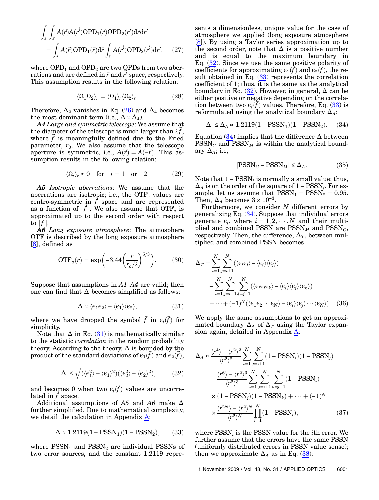$$
\int_{s} \int_{s'} A(\vec{r}) A(\vec{r'}) OPD_1(\vec{r}) OPD_2(\vec{r'}) d\vec{r} d\vec{r'}
$$
\n
$$
= \int_{s} A(\vec{r}) OPD_1(\vec{r}) d\vec{r} \int_{s'} A(\vec{r'}) OPD_2(\vec{r'}) d\vec{r'}, \quad (27)
$$

where  $OPD<sub>1</sub>$  and  $OPD<sub>2</sub>$  are two  $OPD<sub>S</sub>$  from two aberrations and are defined in  $\vec{r}$  and  $r'$  space, respectively. This assumption results in the following relation:

$$
\langle \Omega_1 \Omega_2 \rangle_r = \langle \Omega_1 \rangle_r \langle \Omega_2 \rangle_r. \tag{28}
$$

Therefore,  $\Delta_2$  vanishes in Eq. [\(26](#page-3-4)) and  $\Delta_4$  becomes the most dominant term (i.e.,  $\Delta \approx \Delta_4$ ).

A4 Large and symmetric telescope: We assume that the diameter of the telescope is much larger than  $\lambda f$ , where  $f$  is meaningfully defined due to the Fried parameter,  $r_0$ . We also assume that the telescope aperture is symmetric, i.e.,  $A(\vec{r}) = A(-\vec{r})$ . This assumption results in the following relation:

$$
\langle \Omega_i \rangle_r \approx 0 \quad \text{for} \quad i = 1 \quad \text{or} \quad 2. \tag{29}
$$

A5 Isotropic aberrations: We assume that the aberrations are isotropic; i.e., the  $\text{OTF}_e$  values are centro-symmetric in  $f$  space and are represented as a function of  $|\vec{f}|$ . We also assume that OTF<sub>e</sub> is approximated up to the second order with respect to  $|f|$ .

<span id="page-4-5"></span>A6 Long exposure atmosphere: The atmosphere OTF is described by the long exposure atmosphere [\[8\]](#page-10-5), defined as

$$
\text{OTF}_a(r) = \exp\left(-3.44\left(\frac{r}{r_o/\lambda}\right)^{5/3}\right). \tag{30}
$$

<span id="page-4-0"></span>Suppose that assumptions in A1*–*A4 are valid; then one can find that  $\Delta$  becomes simplified as follows:

$$
\Delta \approx \langle \varepsilon_1 \varepsilon_2 \rangle - \langle \varepsilon_1 \rangle \langle \varepsilon_2 \rangle, \eqno(31)
$$

where we have dropped the symbol  $\vec{f}$  in  $\epsilon_i(\vec{f})$  for simplicity.

<span id="page-4-1"></span>Note that  $\Delta$  in Eq. [\(31](#page-4-0)) is mathematically similar to the statistic correlation in the random probability theory. According to the theory,  $\Delta$  is bounded by the product of the standard deviations of  $\epsilon_1(\vec{f})$  and  $\epsilon_2(\vec{f}),$ 

$$
|\Delta| \le \sqrt{(\langle \epsilon_1^2 \rangle - \langle \epsilon_1 \rangle^2)(\langle \epsilon_2^2 \rangle - \langle \epsilon_2 \rangle^2)},\tag{32}
$$

and becomes 0 when two  $\epsilon_i(\vec{f})$  values are uncorrelated in  $f$  space.

<span id="page-4-2"></span>Additional assumptions of A5 and A6 make  $\Delta$ further simplified. Due to mathematical complexity, we detail the calculation in Appendix [A](#page-9-1):

$$
\Delta \approx 1.2119(1 - \text{PSSN}_1)(1 - \text{PSSN}_2),\qquad(33)
$$

where  $PSSN_1$  and  $PSSN_2$  are individual PSSNs of two error sources, and the constant 1.2119 repre-

sents a dimensionless, unique value for the case of atmosphere we applied (long exposure atmosphere [\[8\]](#page-10-5)). By using a Taylor series approximation up to the second order, note that  $\Delta$  is a positive number and is equal to the maximum boundary in Eq.  $(32)$  $(32)$ . Since we use the same positive polarity of coefficients for approximating  $\epsilon_1(\vec{f})$  and  $\epsilon_2(\vec{f})$ , the result obtained in Eq.  $(33)$  $(33)$  represents the correlation coefficient of 1; thus, it is the same as the analytical boundary in Eq.  $(32)$  $(32)$ . However, in general,  $\Delta$  can be either positive or negative depending on the correlation between two  $\epsilon_i(\vec{f})$  values. Therefore, Eq. ([33\)](#page-4-2) is reformulated using the analytical boundary  $\Delta_A$ :

<span id="page-4-3"></span>
$$
|\Delta|\leq \Delta_A\approx 1.2119(1-{\rm PSSN}_1)(1-{\rm PSSN}_2).\eqno(34)
$$

Equation ([34\)](#page-4-3) implies that the difference  $\Delta$  between  $PSSN_C$  and  $PSSN_M$  is within the analytical boundary  $\Delta_A$ ; i.e.

$$
|PSSN_C - PSSN_M| \le \Delta_A. \tag{35}
$$

Note that  $1 - \text{PSSN}_i$  is normally a small value; thus,  $\Delta_A$  is on the order of the square of 1 – PSSN<sub>i</sub>. For example, let us assume that  $PSSN_1 = PSSN_2 = 0.95$ . Then,  $\Delta_A$  becomes  $3 \times 10^{-3}$ .

Furthermore, we consider  $N$  different errors by generalizing Eq.  $(34)$  $(34)$ . Suppose that individual errors generate  $\epsilon_i$ , where  $i = 1, 2, \dots, N$  and their multiplied and combined PSSN are  $\text{PSSN}_M$  and  $\text{PSSN}_C$ , respectively. Then, the difference,  $\Delta_T$ , between multiplied and combined PSSN becomes

$$
\Delta_T = \sum_{i=1}^N \sum_{j=i+1}^N (\langle \epsilon_i \epsilon_j \rangle - \langle \epsilon_i \rangle \langle \epsilon_j \rangle)
$$
  
 
$$
- \sum_{i=1}^N \sum_{j=i+1}^N \sum_{k=j+1}^N (\langle \epsilon_i \epsilon_j \epsilon_k \rangle - \langle \epsilon_i \rangle \langle \epsilon_j \rangle \langle \epsilon_k \rangle)
$$
  
 
$$
+ \cdots + (-1)^N (\langle \epsilon_1 \epsilon_2 \cdots \epsilon_N \rangle - \langle \epsilon_i \rangle \langle \epsilon_j \rangle \cdots \langle \epsilon_N \rangle).
$$
 (36)

<span id="page-4-6"></span>We apply the same assumptions to get an approximated boundary  $\Delta_A$  of  $\Delta_T$  using the Taylor expansion again, detailed in Appendix [A:](#page-9-1)

$$
\Delta_A \approx \frac{\langle r^4 \rangle - \langle r^2 \rangle^2}{\langle r^2 \rangle^2} \sum_{i=1}^N \sum_{j=i+1}^N (1 - \text{PSSN}_i)(1 - \text{PSSN}_j)
$$

$$
- \frac{\langle r^6 \rangle - \langle r^2 \rangle^3}{\langle r^2 \rangle^3} \sum_{i=1}^N \sum_{j=i+1}^N \sum_{k=j+1}^N (1 - \text{PSSN}_i)
$$

$$
\times (1 - \text{PSSN}_j)(1 - \text{PSSN}_k) + \dots + (-1)^N
$$

$$
\times \frac{\langle r^{2N} \rangle - \langle r^2 \rangle^N}{\langle r^2 \rangle^N} \prod_{i=1}^N (1 - \text{PSSN}_i), \tag{37}
$$

<span id="page-4-4"></span>where  $\text{PSSN}_i$  is the PSSN value for the *i*th error. We further assume that the errors have the same PSSN (uniformly distributed errors in PSSN value sense); then we approximate  $\Delta_A$  as in Eq. ([38\)](#page-4-4):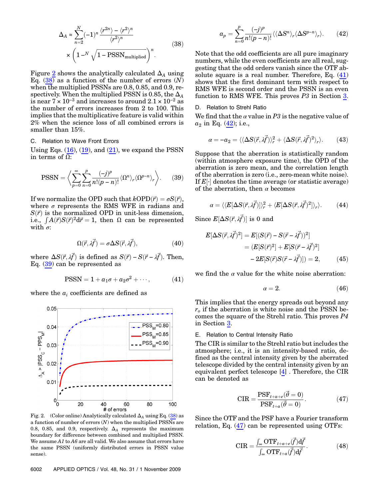$$
\Delta_A \approx \sum_{n=2}^{N} (-1)^n \frac{\langle r^{2n} \rangle - \langle r^2 \rangle^n}{\langle r^2 \rangle^n}
$$
\n
$$
\times \left(1 - N \sqrt{1 - \text{PSSN}_{\text{multiplied}}}\right)^n.
$$
\n(38)

Figure [2](#page-5-0) shows the analytically calculated  $\Delta_A$  using Eq.  $(38)$  $(38)$  as a function of the number of errors  $(N)$ when the multiplied PSSNs are 0.8, 0.85, and 0.9, respectively. When the multiplied PSSN is 0.85, the  $\Delta_A$ is near  $7 \times 10^{-3}$  and increases to around  $2.1 \times 10^{-2}$  as the number of errors increases from 2 to 100. This implies that the multiplicative feature is valid within 2% when the science loss of all combined errors is smaller than 15%.

## <span id="page-5-6"></span>C. Relation to Wave Front Errors

<span id="page-5-1"></span>Using Eqs.  $(16)$  $(16)$ ,  $(19)$  $(19)$ , and  $(21)$  $(21)$ , we expand the PSSN in terms of Ω:

$$
\text{PSSN} = \left\langle \sum_{p=0}^{\infty} \sum_{n=0}^{p} \frac{(-j)^p}{n!(p-n)!} \langle \Omega^n \rangle_r \langle \Omega^{p-n} \rangle_r \right\rangle. \tag{39}
$$

If we normalize the OPD such that  $kOPD(\vec{r}) = \sigma S(\vec{r})$ . where  $\sigma$  represents the RMS WFE in radians and  $S(\vec{r})$  is the normalized OPD in unit-less dimension, i.e.,  $\int A(\vec{r})S(\vec{r})^2 d\vec{r} = 1$ , then  $\Omega$  can be represented with  $\sigma$ :

$$
\Omega(\vec{r}, \lambda \vec{f}) = \sigma \Delta S(\vec{r}, \lambda \vec{f}), \qquad (40)
$$

<span id="page-5-2"></span>where  $\Delta S(\vec{r}, \lambda \vec{f})$  is defined as  $S(\vec{r}) - S(\vec{r} - \lambda \vec{f})$ . Then, Eq. [\(39](#page-5-1)) can be represented as

$$
PSSN = 1 + a_1 \sigma + a_2 \sigma^2 + \cdots, \qquad (41)
$$

<span id="page-5-3"></span>where the  $a_i$  coefficients are defined as

<span id="page-5-0"></span>

Fig. 2. (Color online) Analytically calculated  $\Delta_A$  using Eq. ([38](#page-4-4)) as a function of number of errors  $\left( N \right)$  when the multiplied PSSNs are 0.8, 0.85, and 0.9, respectively.  $\Delta_A$  represents the maximum boundary for difference between combined and multiplied PSSN. We assume A1 to A6 are all valid. We also assume that errors have the same PSSN (uniformly distributed errors in PSSN value sense).

$$
a_p = \sum_{n=0}^p \frac{(-j)^p}{n!(p-n)!} \langle \langle \Delta S^n \rangle_r \langle \Delta S^{p-n} \rangle_r \rangle.
$$
 (42)

Note that the odd coefficients are all pure imaginary numbers, while the even coefficients are all real, suggesting that the odd orders vanish since the OTF absolute square is a real number. Therefore, Eq.  $(41)$  $(41)$ shows that the first dominant term with respect to RMS WFE is second order and the PSSN is an even function to RMS WFE. This proves P3 in Section [3](#page-2-0).

#### D. Relation to Strehl Ratio

We find that the  $\alpha$  value in P3 is the negative value of  $a_2$  in Eq. [\(42](#page-5-3)); i.e.,

$$
\alpha = -a_2 = \langle \langle \Delta S(\vec{r}, \vec{\mathcal{M}}) \rangle_r^2 + \langle \Delta S(\vec{r}, \vec{\mathcal{M}})^2 \rangle_r \rangle. \tag{43}
$$

Suppose that the aberration is statistically random (within atmosphere exposure time), the OPD of the aberration is zero mean, and the correlation length of the aberration is zero (i.e., zero-mean white noise). If  $E[\cdot]$  denotes the time average (or statistic average) of the aberration, then  $\alpha$  becomes

$$
\alpha = \langle \langle E[\Delta S(\vec{r}, \lambda \vec{f})] \rangle_r^2 + \langle E[\Delta S(\vec{r}, \lambda \vec{f})^2] \rangle_r \rangle. \tag{44}
$$

<span id="page-5-5"></span>Since  $E[\Delta S(\vec{r}, \lambda \vec{f})]$  is 0 and

$$
E[\Delta S(\vec{r}, \lambda \vec{f})^2] = E[(S(\vec{r}) - S(\vec{r} - \lambda \vec{f}))^2]
$$
  
=  $(E[S(\vec{r})^2] + E[S(\vec{r} - \lambda \vec{f})^2]$   
 $- 2E[S(\vec{r})S(\vec{r} - \lambda \vec{f})]) = 2,$  (45)

we find the  $\alpha$  value for the white noise aberration:

$$
\alpha = 2.\t(46)
$$

This implies that the energy spreads out beyond any  $r<sub>o</sub>$  if the aberration is white noise and the PSSN becomes the square of the Strehl ratio. This proves P4 in Section [3](#page-2-0).

#### E. Relation to Central Intensity Ratio

<span id="page-5-4"></span>The CIR is similar to the Strehl ratio but includes the atmosphere; i.e., it is an intensity-based ratio, defined as the central intensity given by the aberrated telescope divided by the central intensity given by an equivalent perfect telescope [[4](#page-10-1)] . Therefore, the CIR can be denoted as

$$
CIR = \frac{PSF_{t+a+e}(\vec{\theta} = 0)}{PSF_{t+a}(\vec{\theta} = 0)}.
$$
\n(47)

Since the OTF and the PSF have a Fourier transform relation, Eq. [\(47](#page-5-4)) can be represented using OTFs:

$$
\text{CIR} = \frac{\int_{\infty} \text{OTF}_{t+a+e}(\vec{f}) \, \text{d}\vec{f}}{\int_{\infty} \text{OTF}_{t+a}(\vec{f}) \, \text{d}\vec{f}}.
$$
 (48)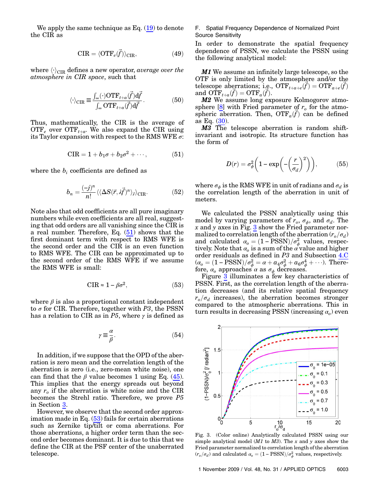We apply the same technique as  $Eq. (19)$  $Eq. (19)$  to denote the CIR as

$$
CIR = \langle OTF_e(\vec{f}) \rangle_{CIR}, \tag{49}
$$

where  $\langle \cdot \rangle_{\text{CIR}}$  defines a new operator, average over the atmosphere in CIR space, such that

$$
\langle \cdot \rangle_{\text{CIR}} \equiv \frac{\int_{\infty} (\cdot) \text{OTF}_{t+a}(\vec{f}) \, \mathrm{d}\vec{f}}{\int_{\infty} \text{OTF}_{t+a}(\vec{f}) \, \mathrm{d}\vec{f}}.
$$
 (50)

<span id="page-6-0"></span>Thus, mathematically, the CIR is the average of  $\text{OTF}_e$  over  $\text{OTF}_{t+a}$ . We also expand the CIR using its Taylor expansion with respect to the RMS WFE  $\sigma$ :

$$
CIR = 1 + b_1 \sigma + b_2 \sigma^2 + \cdots, \qquad (51)
$$

where the  $b_i$  coefficients are defined as

$$
b_n = \frac{(-j)^n}{n!} \langle \langle \Delta S(\vec{r}, \lambda \vec{f})^n \rangle_{\vec{r}} \rangle_{\text{CIR}}.
$$
 (52)

<span id="page-6-1"></span>Note also that odd coefficients are all pure imaginary numbers while even coefficients are all real, suggesting that odd orders are all vanishing since the CIR is a real number. Therefore, Eq. ([51\)](#page-6-0) shows that the first dominant term with respect to RMS WFE is the second order and the CIR is an even function to RMS WFE. The CIR can be approximated up to the second order of the RMS WFE if we assume the RMS WFE is small:

$$
\text{CIR} \approx 1 - \beta \sigma^2, \qquad \qquad (53)
$$

where  $\beta$  is also a proportional constant independent to  $\sigma$  for CIR. Therefore, together with P3, the PSSN has a relation to CIR as in P5, where  $\gamma$  is defined as

$$
\gamma \equiv \frac{\alpha}{\beta}.\tag{54}
$$

In addition, if we suppose that the OPD of the aberration is zero mean and the correlation length of the aberration is zero (i.e., zero-mean white noise), one can find that the  $\beta$  value becomes 1 using Eq. ([45](#page-5-5)). This implies that the energy spreads out beyond any  $r<sub>o</sub>$  if the aberration is white noise and the CIR becomes the Strehl ratio. Therefore, we prove P5 in Section [3](#page-2-0).

However, we observe that the second order approximation made in Eq.  $(53)$  $(53)$  fails for certain aberrations such as Zernike tip/tilt or coma aberrations. For those aberrations, a higher order term than the second order becomes dominant. It is due to this that we define the CIR at the PSF center of the unaberrated telescope.

F. Spatial Frequency Dependence of Normalized Point Source Sensitivity

In order to demonstrate the spatial frequency dependence of PSSN, we calculate the PSSN using the following analytical model:

**M1** We assume an infinitely large telescope, so the OTF is only limited by the atmosphere and/or the telescope aberrations; i.e.,  $\overrightarrow{OTF}_{t+a+e}(\vec{f}) = \overrightarrow{OTF}_{a+e}(\vec{f})$ and  $\overrightarrow{OPT}_{t+a}(\vec{f}) = \overrightarrow{OPT}_a(\vec{f}).$ 

M2 We assume long exposure Kolmogorov atmo-sphere [[8](#page-10-5)] with Fried parameter of  $r_o$  for the atmospheric aberration. Then,  $\text{OTF}_a(\vec{f})$  can be defined as Eq. ([30\)](#page-4-5).

M3 The telescope aberration is random shiftinvariant and isotropic. Its structure function has the form of

$$
D(r) = \sigma_{\phi}^{2} \left( 1 - \exp\left( -\left(\frac{r}{\sigma_{d}}\right)^{2} \right) \right), \tag{55}
$$

where  $\sigma_{\phi}$  is the RMS WFE in unit of radians and  $\sigma_d$  is the correlation length of the aberration in unit of meters.

We calculated the PSSN analytically using this model by varying parameters of  $r_o$ ,  $\sigma_{\phi}$ , and  $\sigma_d$ . The  $x$  and  $y$  axes in Fig. [3](#page-6-2) show the Fried parameter normalized to correlation length of the aberration  $(r_o/\sigma_d)$ and calculated  $\alpha_o = (1 - \text{PSSN})/\sigma_{\phi}^2$  values, respectively. Note that  $a_o$  is a sum of the  $\alpha$  value and higher order residuals as defined in P3 and Subsection [4.C](#page-5-6)  $(\alpha_o = (1 - \text{PSSN})/\sigma_{\phi}^2 = \alpha + a_4\sigma_{\phi}^2 + a_6\sigma_{\phi}^4 + \cdots).$  Therefore,  $\alpha_o$  approaches  $\alpha$  as  $\sigma_{\phi}$  decreases.

Figure [3](#page-6-2) illuminates a few key characteristics of PSSN. First, as the correlation length of the aberration decreases (and its relative spatial frequency  $r_o/\sigma_d$  increases), the aberration becomes stronger compared to the atmospheric aberrations. This in turn results in decreasing PSSN (increasing  $\alpha$ <sub>o</sub>) even

<span id="page-6-2"></span>

Fig. 3. (Color online) Analytically calculated PSSN using our simple analytical model  $(M1$  to  $M3)$ . The x and y axes show the Fried parameter normalized to correlation length of the aberration  $(r_o/\sigma_d)$  and calculated  $\alpha_o = (1 - \text{PSSN})/\sigma_{\phi}^2$  values, respectively.

1 November 2009 / Vol. 48, No. 31 / APPLIED OPTICS 6003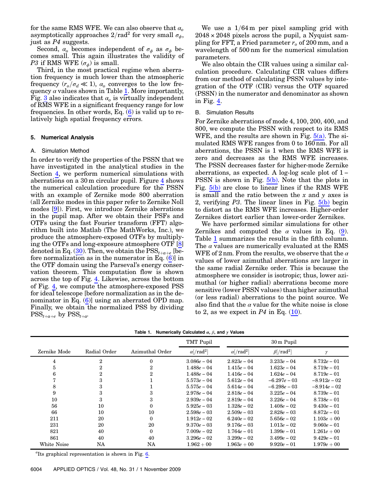for the same RMS WFE. We can also observe that  $\alpha_0$ asymptotically approaches  $2/\text{rad}^2$  for very small  $\sigma_{\phi}$ , just as P4 suggests.

Second,  $\alpha_o$  becomes independent of  $\sigma_{\phi}$  as  $\sigma_{\phi}$  becomes small. This again illustrates the validity of *P3* if RMS WFE  $(\sigma_{\phi})$  is small.

Third, in the most practical regime when aberration frequency is much lower than the atmospheric frequency  $(r_o/\sigma_d \ll 1)$ ,  $\alpha_o$  converges to the low frequency  $\alpha$  values shown in Table [1](#page-7-1). More importantly, Fig. [3](#page-6-2) also indicates that  $\alpha_o$  is virtually independent of RMS WFE in a significant frequency range for low frequencies. In other words, Eq.  $(6)$  $(6)$  $(6)$  is valid up to relatively high spatial frequency errors.

## <span id="page-7-0"></span>5. Numerical Analysis

#### A. Simulation Method

In order to verify the properties of the PSSN that we have investigated in the analytical studies in the Section [4,](#page-2-1) we perform numerical simulations with aberrations on a 30 m circular pupil. Figure [4](#page-8-0) shows the numerical calculation procedure for the PSSN with an example of Zernike mode 800 aberration (all Zernike modes in this paper refer to Zernike Noll modes [\[9\]](#page-10-6)). First, we introduce Zernike aberrations in the pupil map. After we obtain their PSFs and OTFs using the fast Fourier transform (FFT) algorithm built into Matlab (The MathWorks, Inc.), we produce the atmosphere-exposed OTFs by multiplying the OTFs and long-exposure atmosphere OTF [\[8\]](#page-10-5) denoted in Eq. [\(30](#page-4-5)). Then, we obtain the  $\text{PSS}_{t+a+e}$  [before normalization as in the numerator in Eq.  $(6)$  $(6)$ ] in the OTF domain using the Parseval's energy conservation theorem. This computation flow is shown across the top of Fig. [4](#page-8-0). Likewise, across the bottom of Fig. [4,](#page-8-0) we compute the atmosphere-exposed PSS for ideal telescope [before normalization as in the denominator in Eq. [\(6\)](#page-2-2)] using an aberrated OPD map. Finally, we obtain the normalized PSS by dividing  $\text{PSS}_{t+a+e}$  by  $\text{PSS}_{t+a}$ .

We use a  $1/64$  m per pixel sampling grid with  $2048 \times 2048$  pixels across the pupil, a Nyquist sampling for FFT, a Fried parameter  $r<sub>o</sub>$  of 200 mm, and a wavelength of 500 nm for the numerical simulation parameters.

We also obtain the CIR values using a similar calculation procedure. Calculating CIR values differs from our method of calculating PSSN values by integration of the OTF (CIR) versus the OTF squared (PSSN) in the numerator and denominator as shown in Fig. [4](#page-8-0).

#### B. Simulation Results

For Zernike aberrations of mode 4, 100, 200, 400, and 800, we compute the PSSN with respect to its RMS WFE, and the results are shown in Fig.  $5(a)$ . The simulated RMS WFE ranges from 0 to 160 nm. For all aberrations, the PSSN is 1 when the RMS WFE is zero and decreases as the RMS WFE increases. The PSSN decreases faster for higher-mode Zernike aberrations, as expected. A log-log scale plot of 1 − PSSN is shown in Fig. [5\(b\)](#page-8-1). Note that the plots in Fig.  $5(b)$  are close to linear lines if the RMS WFE is small and the ratio between the  $x$  and  $y$  axes is 2, verifying P3. The linear lines in Fig. [5\(b\)](#page-8-1) begin to distort as the RMS WFE increases. Higher-order Zernikes distort earlier than lower-order Zernikes.

We have performed similar simulations for other Zernikes and computed the  $\alpha$  values in Eq. ([9](#page-2-4)). Table [1](#page-7-1) summarizes the results in the fifth column. The  $\alpha$  values are numerically evaluated at the RMS WFE of 2 nm. From the results, we observe that the  $\alpha$ values of lower azimuthal aberrations are larger in the same radial Zernike order. This is because the atmosphere we consider is isotropic; thus, lower azimuthal (or higher radial) aberrations become more sensitive (lower PSSN values) than higher azimuthal (or less radial) aberrations to the point source. We also find that the  $\alpha$  value for the white noise is close to 2, as we expect in  $P4$  in Eq. ([10\)](#page-2-5).

<span id="page-7-1"></span>

|              |                |                 | TMT Pupil                     |                               | 30 m Pupil                   |                |
|--------------|----------------|-----------------|-------------------------------|-------------------------------|------------------------------|----------------|
| Zernike Mode | Radial Order   | Azimuthal Order | $\alpha$ [/rad <sup>2</sup> ] | $\alpha$ [/rad <sup>2</sup> ] | $\beta$ [/rad <sup>2</sup> ] |                |
| 4            | $\overline{2}$ | $\mathbf{0}$    | $3.086e - 04$                 | $2.823e - 04$                 | $3.233e - 04$                | $8.732e - 01$  |
| 5            | $\overline{2}$ | $\mathbf{2}$    | $1.488e - 04$                 | $1.415e - 04$                 | $1.623e - 04$                | $8.719e - 01$  |
| 6            | $\overline{2}$ | $\mathbf{2}$    | $1.488e - 04$                 | $1.416e - 04$                 | $1.624e - 04$                | $8.719e - 01$  |
|              | 3              |                 | $5.573e - 04$                 | $5.612e - 04$                 | $-6.297e - 0.3$              | $-8.912e - 02$ |
| 8            | 3              |                 | $5.575e - 04$                 | $5.614e - 04$                 | $-6.298e - 03$               | $-8.914e - 02$ |
| 9            | 3              | 3               | $2.978e - 04$                 | $2.818e - 04$                 | $3.225e - 04$                | $8.739e - 01$  |
| 10           | 3              | 3               | $2.939e - 04$                 | $2.819e - 04$                 | $3.226e - 04$                | $8.738e - 01$  |
| 56           | 10             | $\theta$        | $5.925e - 03$                 | $1.328e - 02$                 | $1.408e - 02$                | $9.430e - 01$  |
| 66           | 10             | 10              | $2.598e - 03$                 | $2.509e - 03$                 | $2.828e - 03$                | $8.872e - 01$  |
| 211          | 20             | $\Omega$        | $1.912e - 02$                 | $6.240e - 02$                 | $5.656e - 02$                | $1.103e + 00$  |
| 231          | 20             | 20              | $9.370e - 03$                 | $9.176e - 03$                 | $1.013e - 02$                | $9.060e - 01$  |
| 821          | 40             | $\mathbf{0}$    | $7.009e - 02$                 | $1.764e - 01$                 | $1.399e - 01$                | $1.261e + 00$  |
| 861          | 40             | 40              | $3.296e - 02$                 | $3.299e - 02$                 | $3.499e - 02$                | $9.429e - 01$  |
| White Noise  | NA             | NA              | $1.962 + 00$                  | $1.963e + 00$                 | $9.920e - 01$                | $1.979e + 00$  |

Table 1. Numerically Calculated  $\alpha$ ,  $\beta$ , and  $\gamma$  Values

<sup>a</sup>Its graphical representation is shown in Fig. [6](#page-9-2).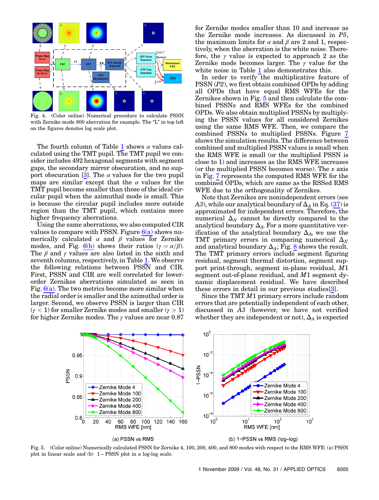<span id="page-8-0"></span>

Fig. 4. (Color online) Numerical procedure to calculate PSSN with Zernike mode 800 aberration for example. The "L" in top left on the figures denotes log scale plot.

The fourth column of Table [1](#page-7-1) shows  $\alpha$  values calculated using the TMT pupil. The TMT pupil we consider includes 492 hexagonal segments with segment gaps, the secondary mirror obscuration, and no sup-port obscuration [[3](#page-10-0)]. The  $\alpha$  values for the two pupil maps are similar except that the  $\alpha$  values for the TMT pupil become smaller than those of the ideal circular pupil when the azimuthal mode is small. This is because the circular pupil includes more outside region than the TMT pupil, which contains more higher frequency aberrations.

Using the same aberrations, we also computed CIR values to compare with PSSN. Figure  $6(a)$  shows numerically calculated  $\alpha$  and  $\beta$  values for Zernike modes, and Fig. [6\(b\)](#page-9-3) shows their ratios ( $\gamma = \alpha/\beta$ ). The  $\beta$  and  $\gamma$  values are also listed in the sixth and seventh columns, respectively, in Table [1.](#page-7-1) We observe the following relations between PSSN and CIR. First, PSSN and CIR are well correlated for lowerorder Zernikes aberrations simulated as seen in Fig.  $6(a)$ . The two metrics become more similar when the radial order is smaller and the azimuthal order is larger. Second, we observe PSSN is larger than CIR  $(\gamma < 1)$  for smaller Zernike modes and smaller  $(\gamma > 1)$ for higher Zernike modes. The  $\gamma$  values are near 0.87 for Zernike modes smaller than 10 and increase as the Zernike mode increases. As discussed in P5, the maximum limits for  $\alpha$  and  $\beta$  are 2 and 1, respectively, when the aberration is the white noise. Therefore, the  $\gamma$  value is expected to approach 2 as the Zernike mode becomes larger. The  $\gamma$  value for the white noise in Table [1](#page-7-1) also demonstrates this.

In order to verify the multiplicative feature of PSSN (P2), we first obtain combined OPDs by adding all OPDs that have equal RMS WFEs for the Zernikes shown in Fig. [5](#page-8-2) and then calculate the combined PSSNs and RMS WFEs for the combined OPDs. We also obtain multiplied PSSNs by multiplying the PSSN values for all considered Zernikes using the same RMS WFE. Then, we compare the combined PSSNs to multiplied PSSNs. Figure [7](#page-9-4) shows the simulation results. The difference between combined and multiplied PSSN values is small when the RMS WFE is small (or the multiplied PSSN is close to 1) and increases as the RMS WFE increases (or the multiplied PSSN becomes worse). The  $x$  axis in Fig. [7](#page-9-4) represents the computed RMS WFE for the combined OPDs, which are same as the RSSed RMS WFE due to the orthogonality of Zernikes.

Note that Zernikes are nonindependent errors (see A3), while our analytical boundary of  $\Delta_A$  in Eq. ([37](#page-4-6)) is approximated for independent errors. Therefore, the numerical  $\Delta_N$  cannot be directly compared to the analytical boundary  $\Delta_A$ . For a more quantitative verification of the analytical boundary  $\Delta_A$ , we use the TMT primary errors in comparing numerical  $\Delta_N$ and analytical boundary  $\Delta_A$ ; Fig. [8](#page-9-5) shows the result. The TMT primary errors include segment figuring residual, segment thermal distortion, segment support print-through, segment in-plane residual, M1 segment out-of-plane residual, and M1 segment dynamic displacement residual. We have described these errors in detail in our previous studies[\[3\]](#page-10-0).

Since the TMT M1 primary errors include random errors that are potentially independent of each other, discussed in A3 (however, we have not verified whether they are independent or not),  $\Delta_A$  is expected

<span id="page-8-2"></span>

<span id="page-8-1"></span>Fig. 5. (Color online) Numerically calculated PSSN for Zernike 4, 100, 200, 400, and 800 modes with respect to the RMS WFE: (a) PSSN plot in linear scale and (b) 1 − PSSN plot in a log-log scale.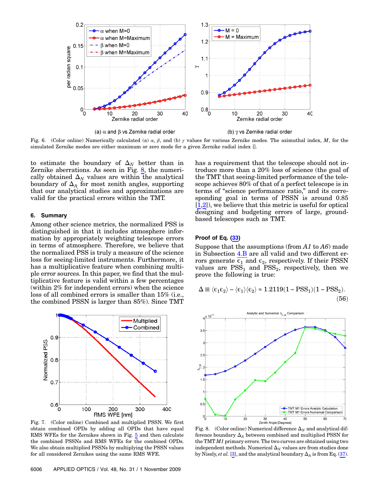<span id="page-9-2"></span>

<span id="page-9-3"></span>Fig. 6. (Color online) Numerically calculated (a)  $\alpha$ ,  $\beta$ , and (b)  $\gamma$  values for various Zernike modes. The azimuthal index, M, for the simulated Zernike modes are either maximum or zero mode for a given Zernike radial index [].

to estimate the boundary of  $\Delta_N$  better than in Zernike aberrations. As seen in Fig. [8](#page-9-5), the numerically obtained  $\Delta_N$  values are within the analytical boundary of  $\Delta_A$  for most zenith angles, supporting that our analytical studies and approximations are valid for the practical errors within the TMT.

#### <span id="page-9-0"></span>6. Summary

Among other science metrics, the normalized PSS is distinguished in that it includes atmosphere information by appropriately weighting telescope errors in terms of atmosphere. Therefore, we believe that the normalized PSS is truly a measure of the science loss for seeing-limited instruments. Furthermore, it has a multiplicative feature when combining multiple error sources. In this paper, we find that the multiplicative feature is valid within a few percentages (within 2% for independent errors) when the science loss of all combined errors is smaller than 15% (i.e., the combined PSSN is larger than 85%). Since TMT

<span id="page-9-4"></span>

Fig. 7. (Color online) Combined and multiplied PSSN. We first obtain combined OPDs by adding all OPDs that have equal RMS WFEs for the Zernikes shown in Fig. [5](#page-8-2) and then calculate the combined PSSNs and RMS WFEs for the combined OPDs. We also obtain multiplied PSSNs by multiplying the PSSN values for all considered Zernikes using the same RMS WFE.

has a requirement that the telescope should not introduce more than a 20% loss of science (the goal of the TMT that seeing-limited performance of the telescope achieves 80% of that of a perfect telescope is in terms of "science performance ratio," and its corresponding goal in terms of PSSN is around 0.85 [1,2]), we believe that this metric is useful for optical designing and budgeting errors of large, groundbased telescopes such as TMT.

# <span id="page-9-1"></span>Proof of Eq. ([33\)](#page-4-2)

<span id="page-9-6"></span>Suppose that the assumptions (from  $A1$  to  $A6$ ) made in Subsection [4.B](#page-3-7) are all valid and two different errors generate  $\epsilon_1$  and  $\epsilon_2$ , respectively. If their PSSN values are  $PSS<sub>1</sub>$  and  $PSS<sub>2</sub>$ , respectively, then we prove the following is true:

$$
\Delta \equiv \langle \varepsilon_1 \varepsilon_2 \rangle - \langle \varepsilon_1 \rangle \langle \varepsilon_2 \rangle \approx 1.2119(1 - \text{PSS}_1)(1 - \text{PSS}_2).
$$
\n(56)

<span id="page-9-5"></span>

Fig. 8. (Color online) Numerical difference  $\Delta_N$  and analytical difference boundary  $\Delta_A$  between combined and multiplied PSSN for the TMT  $M1$  primary errors. The two curves are obtained using two independent methods. Numerical  $\Delta_N$  values are from studies done by Nissly, et al. [\[3\]](#page-10-0), and the analytical boundary  $\Delta_A$  is from Eq. [\(37](#page-4-6)).